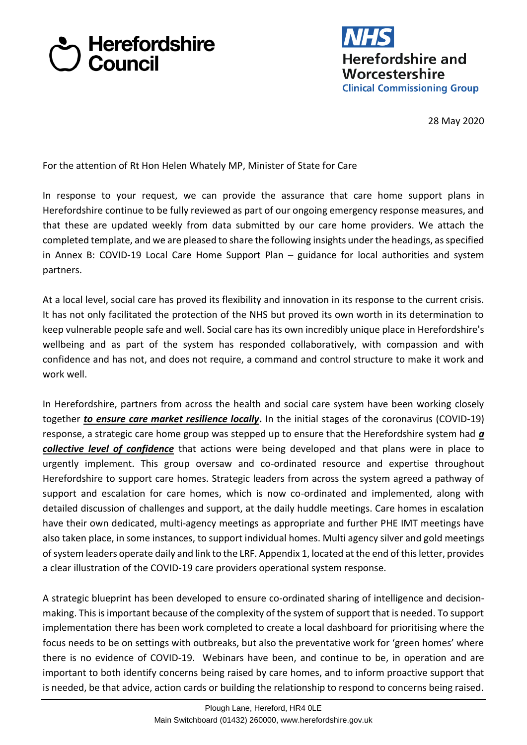## **Herefordshire**<br>2 Council



28 May 2020

For the attention of Rt Hon Helen Whately MP, Minister of State for Care

In response to your request, we can provide the assurance that care home support plans in Herefordshire continue to be fully reviewed as part of our ongoing emergency response measures, and that these are updated weekly from data submitted by our care home providers. We attach the completed template, and we are pleased to share the following insights under the headings, as specified in Annex B: COVID-19 Local Care Home Support Plan – guidance for local authorities and system partners.

At a local level, social care has proved its flexibility and innovation in its response to the current crisis. It has not only facilitated the protection of the NHS but proved its own worth in its determination to keep vulnerable people safe and well. Social care has its own incredibly unique place in Herefordshire's wellbeing and as part of the system has responded collaboratively, with compassion and with confidence and has not, and does not require, a command and control structure to make it work and work well.

In Herefordshire, partners from across the health and social care system have been working closely together *to ensure care market resilience locally***.** In the initial stages of the coronavirus (COVID-19) response, a strategic care home group was stepped up to ensure that the Herefordshire system had *a collective level of confidence* that actions were being developed and that plans were in place to urgently implement. This group oversaw and co-ordinated resource and expertise throughout Herefordshire to support care homes. Strategic leaders from across the system agreed a pathway of support and escalation for care homes, which is now co-ordinated and implemented, along with detailed discussion of challenges and support, at the daily huddle meetings. Care homes in escalation have their own dedicated, multi-agency meetings as appropriate and further PHE IMT meetings have also taken place, in some instances, to support individual homes. Multi agency silver and gold meetings of system leaders operate daily and link to the LRF. Appendix 1, located at the end of this letter, provides a clear illustration of the COVID-19 care providers operational system response.

A strategic blueprint has been developed to ensure co-ordinated sharing of intelligence and decisionmaking. This is important because of the complexity of the system of support that is needed. To support implementation there has been work completed to create a local dashboard for prioritising where the focus needs to be on settings with outbreaks, but also the preventative work for 'green homes' where there is no evidence of COVID-19. Webinars have been, and continue to be, in operation and are important to both identify concerns being raised by care homes, and to inform proactive support that is needed, be that advice, action cards or building the relationship to respond to concerns being raised.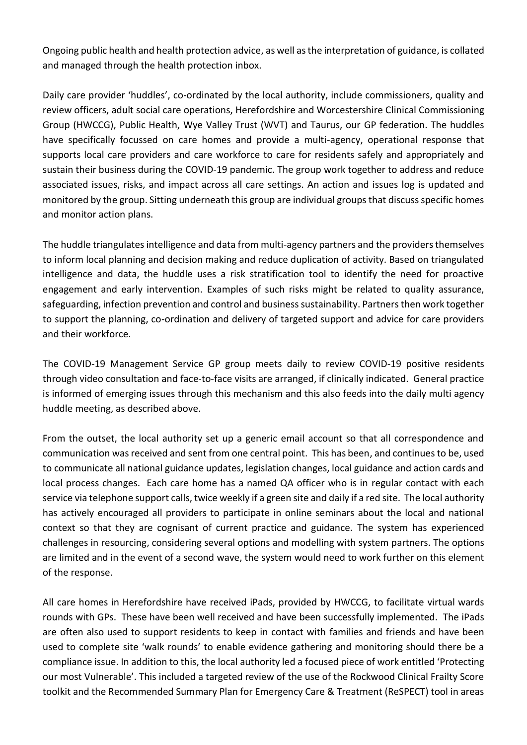Ongoing public health and health protection advice, as well as the interpretation of guidance, is collated and managed through the health protection inbox.

Daily care provider 'huddles', co-ordinated by the local authority, include commissioners, quality and review officers, adult social care operations, Herefordshire and Worcestershire Clinical Commissioning Group (HWCCG), Public Health, Wye Valley Trust (WVT) and Taurus, our GP federation. The huddles have specifically focussed on care homes and provide a multi-agency, operational response that supports local care providers and care workforce to care for residents safely and appropriately and sustain their business during the COVID-19 pandemic. The group work together to address and reduce associated issues, risks, and impact across all care settings. An action and issues log is updated and monitored by the group. Sitting underneath this group are individual groups that discuss specific homes and monitor action plans.

The huddle triangulates intelligence and data from multi-agency partners and the providers themselves to inform local planning and decision making and reduce duplication of activity. Based on triangulated intelligence and data, the huddle uses a risk stratification tool to identify the need for proactive engagement and early intervention. Examples of such risks might be related to quality assurance, safeguarding, infection prevention and control and business sustainability. Partners then work together to support the planning, co-ordination and delivery of targeted support and advice for care providers and their workforce.

The COVID-19 Management Service GP group meets daily to review COVID-19 positive residents through video consultation and face-to-face visits are arranged, if clinically indicated. General practice is informed of emerging issues through this mechanism and this also feeds into the daily multi agency huddle meeting, as described above.

From the outset, the local authority set up a generic email account so that all correspondence and communication was received and sent from one central point. This has been, and continues to be, used to communicate all national guidance updates, legislation changes, local guidance and action cards and local process changes. Each care home has a named QA officer who is in regular contact with each service via telephone support calls, twice weekly if a green site and daily if a red site. The local authority has actively encouraged all providers to participate in online seminars about the local and national context so that they are cognisant of current practice and guidance. The system has experienced challenges in resourcing, considering several options and modelling with system partners. The options are limited and in the event of a second wave, the system would need to work further on this element of the response.

All care homes in Herefordshire have received iPads, provided by HWCCG, to facilitate virtual wards rounds with GPs. These have been well received and have been successfully implemented. The iPads are often also used to support residents to keep in contact with families and friends and have been used to complete site 'walk rounds' to enable evidence gathering and monitoring should there be a compliance issue. In addition to this, the local authority led a focused piece of work entitled 'Protecting our most Vulnerable'. This included a targeted review of the use of the Rockwood Clinical Frailty Score toolkit and the Recommended Summary Plan for Emergency Care & Treatment (ReSPECT) tool in areas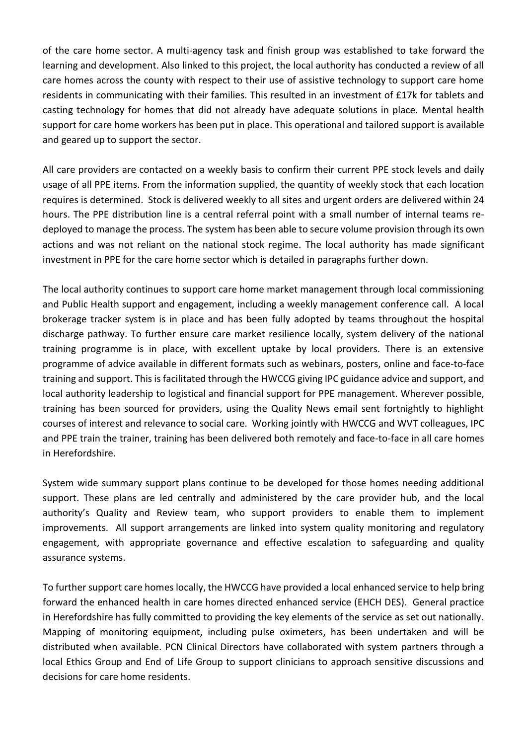of the care home sector. A multi-agency task and finish group was established to take forward the learning and development. Also linked to this project, the local authority has conducted a review of all care homes across the county with respect to their use of assistive technology to support care home residents in communicating with their families. This resulted in an investment of £17k for tablets and casting technology for homes that did not already have adequate solutions in place. Mental health support for care home workers has been put in place. This operational and tailored support is available and geared up to support the sector.

All care providers are contacted on a weekly basis to confirm their current PPE stock levels and daily usage of all PPE items. From the information supplied, the quantity of weekly stock that each location requires is determined. Stock is delivered weekly to all sites and urgent orders are delivered within 24 hours. The PPE distribution line is a central referral point with a small number of internal teams redeployed to manage the process. The system has been able to secure volume provision through its own actions and was not reliant on the national stock regime. The local authority has made significant investment in PPE for the care home sector which is detailed in paragraphs further down.

The local authority continues to support care home market management through local commissioning and Public Health support and engagement, including a weekly management conference call. A local brokerage tracker system is in place and has been fully adopted by teams throughout the hospital discharge pathway. To further ensure care market resilience locally, system delivery of the national training programme is in place, with excellent uptake by local providers. There is an extensive programme of advice available in different formats such as webinars, posters, online and face-to-face training and support. This is facilitated through the HWCCG giving IPC guidance advice and support, and local authority leadership to logistical and financial support for PPE management. Wherever possible, training has been sourced for providers, using the Quality News email sent fortnightly to highlight courses of interest and relevance to social care. Working jointly with HWCCG and WVT colleagues, IPC and PPE train the trainer, training has been delivered both remotely and face-to-face in all care homes in Herefordshire.

System wide summary support plans continue to be developed for those homes needing additional support. These plans are led centrally and administered by the care provider hub, and the local authority's Quality and Review team, who support providers to enable them to implement improvements. All support arrangements are linked into system quality monitoring and regulatory engagement, with appropriate governance and effective escalation to safeguarding and quality assurance systems.

To further support care homes locally, the HWCCG have provided a local enhanced service to help bring forward the enhanced health in care homes directed enhanced service (EHCH DES). General practice in Herefordshire has fully committed to providing the key elements of the service as set out nationally. Mapping of monitoring equipment, including pulse oximeters, has been undertaken and will be distributed when available. PCN Clinical Directors have collaborated with system partners through a local Ethics Group and End of Life Group to support clinicians to approach sensitive discussions and decisions for care home residents.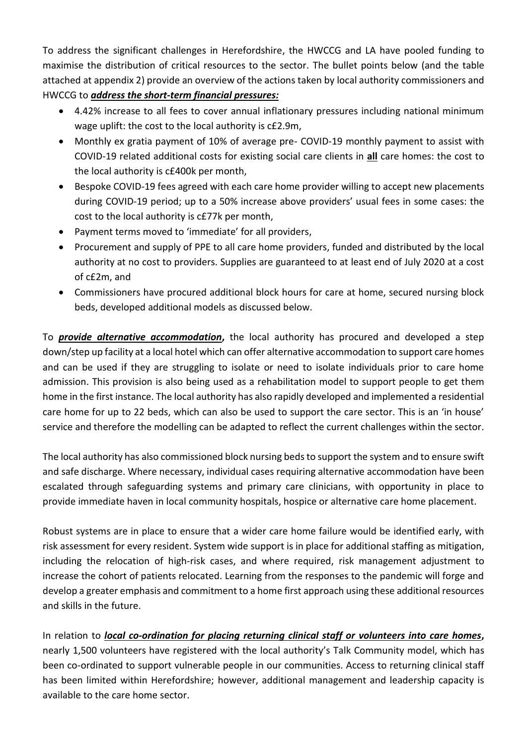To address the significant challenges in Herefordshire, the HWCCG and LA have pooled funding to maximise the distribution of critical resources to the sector. The bullet points below (and the table attached at appendix 2) provide an overview of the actions taken by local authority commissioners and HWCCG to *address the short-term financial pressures:*

- 4.42% increase to all fees to cover annual inflationary pressures including national minimum wage uplift: the cost to the local authority is c£2.9m,
- Monthly ex gratia payment of 10% of average pre- COVID-19 monthly payment to assist with COVID-19 related additional costs for existing social care clients in **all** care homes: the cost to the local authority is c£400k per month,
- Bespoke COVID-19 fees agreed with each care home provider willing to accept new placements during COVID-19 period; up to a 50% increase above providers' usual fees in some cases: the cost to the local authority is c£77k per month,
- Payment terms moved to 'immediate' for all providers,
- Procurement and supply of PPE to all care home providers, funded and distributed by the local authority at no cost to providers. Supplies are guaranteed to at least end of July 2020 at a cost of c£2m, and
- Commissioners have procured additional block hours for care at home, secured nursing block beds, developed additional models as discussed below.

To *provide alternative accommodation***,** the local authority has procured and developed a step down/step up facility at a local hotel which can offer alternative accommodation to support care homes and can be used if they are struggling to isolate or need to isolate individuals prior to care home admission. This provision is also being used as a rehabilitation model to support people to get them home in the first instance. The local authority has also rapidly developed and implemented a residential care home for up to 22 beds, which can also be used to support the care sector. This is an 'in house' service and therefore the modelling can be adapted to reflect the current challenges within the sector.

The local authority has also commissioned block nursing beds to support the system and to ensure swift and safe discharge. Where necessary, individual cases requiring alternative accommodation have been escalated through safeguarding systems and primary care clinicians, with opportunity in place to provide immediate haven in local community hospitals, hospice or alternative care home placement.

Robust systems are in place to ensure that a wider care home failure would be identified early, with risk assessment for every resident. System wide support is in place for additional staffing as mitigation, including the relocation of high-risk cases, and where required, risk management adjustment to increase the cohort of patients relocated. Learning from the responses to the pandemic will forge and develop a greater emphasis and commitment to a home first approach using these additional resources and skills in the future.

In relation to *local co-ordination for placing returning clinical staff or volunteers into care homes***,**  nearly 1,500 volunteers have registered with the local authority's Talk Community model, which has been co-ordinated to support vulnerable people in our communities. Access to returning clinical staff has been limited within Herefordshire; however, additional management and leadership capacity is available to the care home sector.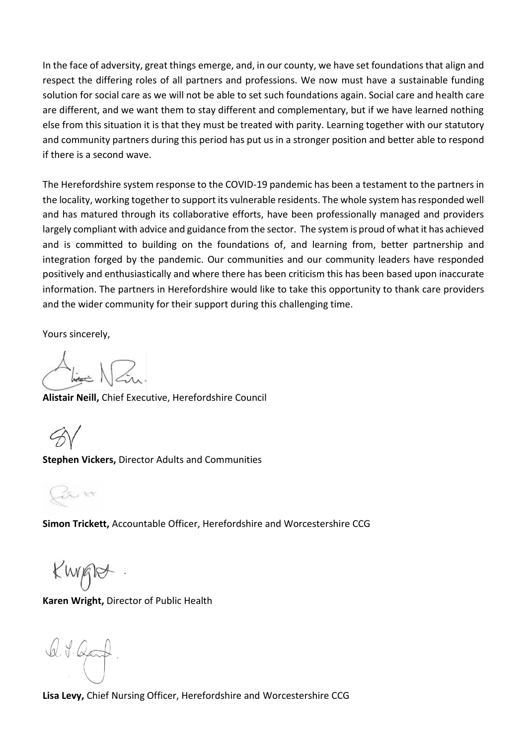In the face of adversity, great things emerge, and, in our county, we have set foundations that align and respect the differing roles of all partners and professions. We now must have a sustainable funding solution for social care as we will not be able to set such foundations again. Social care and health care are different, and we want them to stay different and complementary, but if we have learned nothing else from this situation it is that they must be treated with parity. Learning together with our statutory and community partners during this period has put us in a stronger position and better able to respond if there is a second wave.

The Herefordshire system response to the COVID-19 pandemic has been a testament to the partners in the locality, working together to support its vulnerable residents. The whole system has responded well and has matured through its collaborative efforts, have been professionally managed and providers largely compliant with advice and guidance from the sector. The system is proud of what it has achieved and is committed to building on the foundations of, and learning from, better partnership and integration forged by the pandemic. Our communities and our community leaders have responded positively and enthusiastically and where there has been criticism this has been based upon inaccurate information. The partners in Herefordshire would like to take this opportunity to thank care providers and the wider community for their support during this challenging time.

Yours sincerely,

**Alistair Neill,** Chief Executive, Herefordshire Council

**Stephen Vickers,** Director Adults and Communities

 $5.14$ 

**Simon Trickett,** Accountable Officer, Herefordshire and Worcestershire CCG

Kwapt

**Karen Wright,** Director of Public Health

Q. J. Qart

**Lisa Levy,** Chief Nursing Officer, Herefordshire and Worcestershire CCG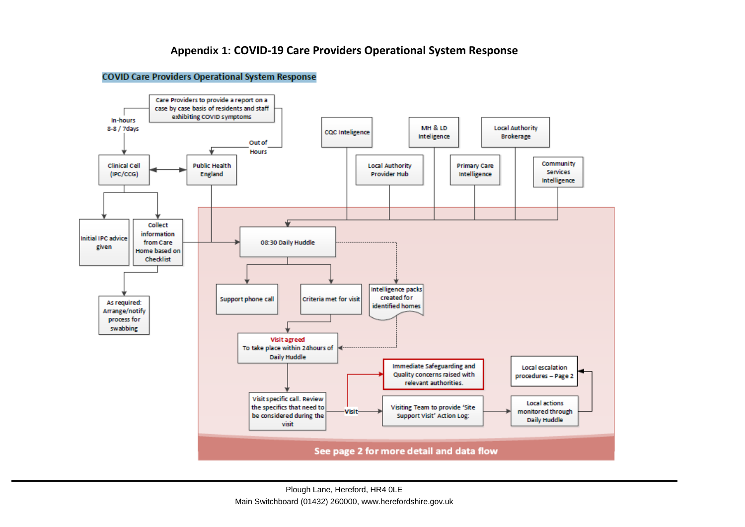## **Appendix 1: COVID-19 Care Providers Operational System Response**

## **COVID Care Providers Operational System Response**

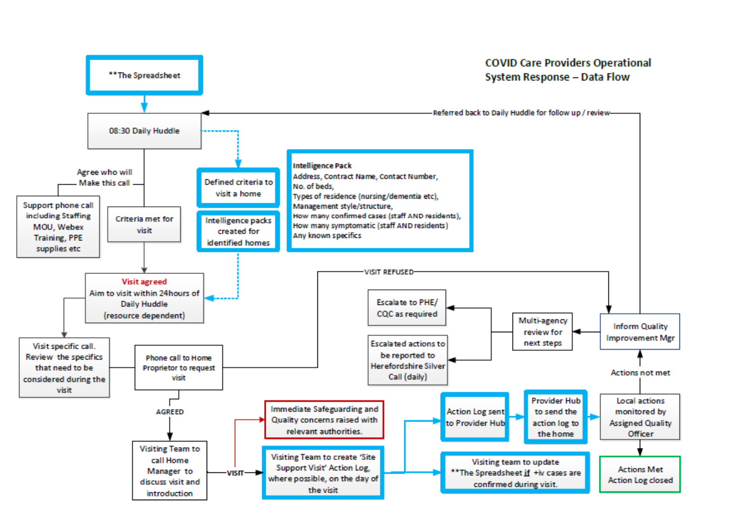